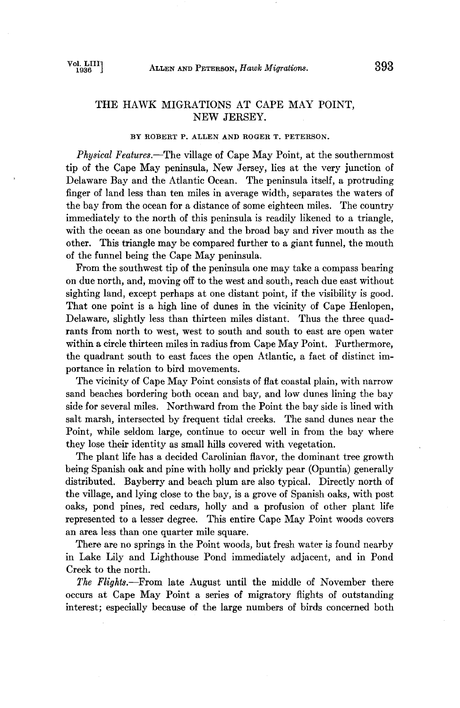## **THE HAWK MIGRATIONS AT CAPE MAY POINT, NEW JERSEY.**

#### **BY ROBERT P. ALLEN AND ROGER T. PETERSON.**

**Physical Features.--The village of Cape May Point, at the southernmost**  tip of the Cape May peninsula, New Jersey, lies at the very junction of **Delaware Bay and the Atlantic Ocean. The peninsula itself, a protruding finger of land less than ten miles in average width, separates the waters of the bay from the ocean for a distance of some eighteen miles. The country immediately to the north of this peninsula is readily likened to a triangle, with the ocean as one boundary and the broad bay and river mouth as the other. This triangle may be compared further to a giant funnel, the mouth of the funnel being the Cape May peninsula.** 

**From the southwest tip of the peninsula one may take a compass bearing on due north, and, moving off to the west and south, reach due east without sighting land, except perhaps at one distant point, if the visibility is good. That one point is a high line of dunes in the vicinity of Cape Henlopen, Delaware, slightly less than thirteen miles distant. Thus the three quadrants from north to west, west to south and south to east are open water within a circle thirteen miles in radius from Cape May Point. Furthermore, the quadrant south to east faces the open Atlantic, a fact of distinct importance in relation to bird movements.** 

**The vicinity of Cape May Point consists of flat coastal plain, with narrow sand beaches bordering both ocean and bay, and low dunes lining the bay side for several miles. Northward from the Point the bay side is lined with salt marsh, intersected by frequent tidal creeks. The sand dunes near the Point, while seldom large, continue to occur well in from the bay where they lose their identity as small hills covered with vegetation.** 

**The plant life has a decided Carolinian flavor, the dominant tree growth being Spanish oak and pine with holly and prickly pear (Opuntia) generally distributed. Bayberry and beach plum are also typical. Directly north of the village, and lying dose to the bay, is a grove of Spanish oaks, with post oaks, pond pines, red cedars, holly and a profusion of other plant life represented to a lesser degree. This entire Cape May Point woods covers an area less than one quarter mile square.** 

**There are no springs in the Point woods, but fresh water is found nearby in Lake Lily and Lighthouse Pond immediately adjacent, and in Pond Creek to the north.** 

**The Flights.--From late August until the middle of November there occurs at Cape May Point a series of migratory flights of outstanding interest; especially because of the large numbers of birds concerned both**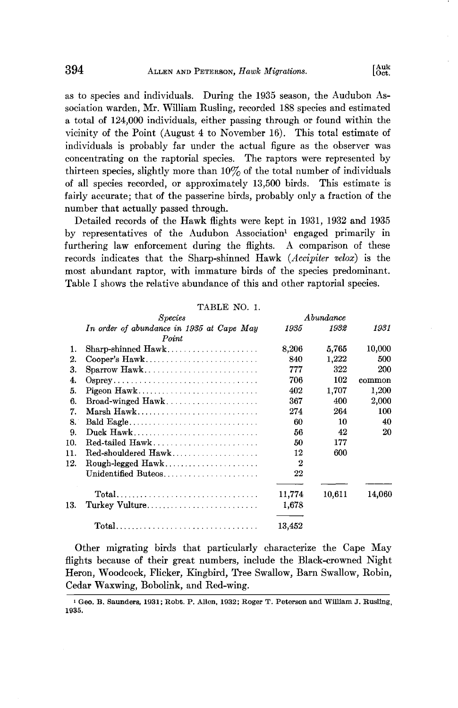**as to species and individuals. During the 1935 season, the Audubon As**sociation warden, Mr. William Rusling, recorded 188 species and estimated **a total of 124,000 individuals, either passing through or found within the vicinity of the Point (August 4 to November 16). This total estimate of individuals is probably far under the actual figure as the observer was concentrating on the raptorial species. The raptors were represented by thirteen species, slightly more than 10% of the total number of individuals of all species recorded, or approximately 13,500 birds. This estimate is**  fairly accurate; that of the passerine birds, probably only a fraction of the **number that actually passed through.** 

**Detailed records of the Hawk flights were kept in 1931, 1932 and 1935**  by representatives of the Audubon Association<sup>1</sup> engaged primarily in furthering law enforcement during the flights. A comparison of these furthering law enforcement during the flights. **records indicates that the Sharp-shinned Hawk (Accipiter velox) is the most abundant raptor, with immature birds of the species predominant. Table I shows the relative abundance of this and other raptorial species.** 

|     | 1 ADID NV. 1.                                      |                  |        |        |
|-----|----------------------------------------------------|------------------|--------|--------|
|     | <i>Species</i>                                     | Abundance        |        |        |
|     | In order of abundance in 1935 at Cape May<br>Point | 1935             | 1932   | 1931   |
| 1.  | Sharp-shinned Hawk                                 | 8,206            | 5,765  | 10,000 |
| 2.  | Cooper's Hawk                                      | 840              | 1,222  | 500    |
| 3.  | Sparrow Hawk                                       | 777              | 322    | 200    |
| 4.  | Osprey                                             | 706              | 102    | common |
| 5.  | Pigeon Hawk                                        | 402              | 1,707  | 1,200  |
| 6.  | Broad-winged Hawk                                  | 367              | 400    | 2,000  |
| 7.  | Marsh Hawk                                         | 274              | 264    | 100    |
| 8.  | Bald Eagle                                         | 60               | 10     | 40     |
| 9.  | Duck Hawk                                          | 56               | 42     | 20     |
| 10. |                                                    | 50               | 177    |        |
| 11. | Red-shouldered Hawk                                | 12               | 600    |        |
| 12. | Rough-legged Hawk                                  | $\boldsymbol{2}$ |        |        |
|     | Unidentified Buteos                                | 22               |        |        |
|     | $Total$                                            | 11,774           | 10,611 | 14,060 |
| 13. | Turkey Vulture                                     | 1,678            |        |        |
|     | $Total$                                            | 13,452           |        |        |

# **TABLE NO. 1.**

**Other migrating birds that particularly characterize the Cape May flights because of their great numbers, include the Black-crowned Night Heron, Woodcock, Flicker, Kingbird, Tree Swallow, Barn Swallow, Robin, Cedar Waxwing, Bobolink, and Red-wing.** 

**, Geo. B. Saunders, 1931; Robt. P. Allen, 1932; Roger T. Peterson and William J. Rusling, 1935.**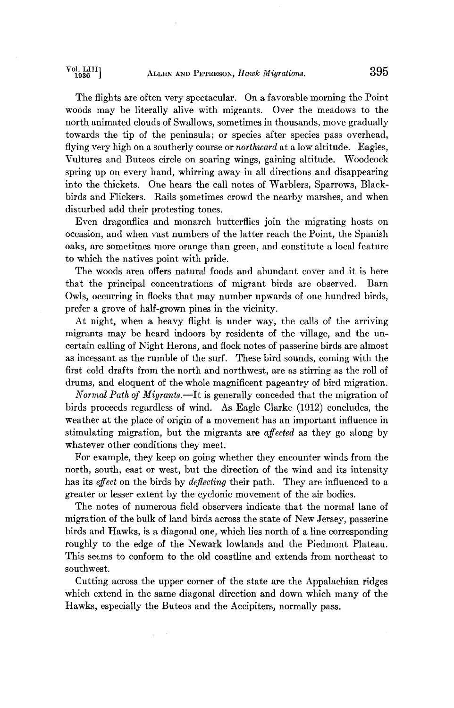**The flights are often very spectacular. On a favorable morning the Point woods may be literally alive with migrants. Over the meadows to the north animated clouds of Swallows, sometimes in thousands, move gradually towards the tip of the peninsula; or species after species pass overhead, flying very high on a southerly course or northward at a low altitude. Eagles, Vultures and Butcos circle on soaring wings, gaining altitude. Woodcock spring up on every hand, whirring away in all directions and disappearing into the thickets. One hears the call notes of Warblers, Sparrows, Blackbirds and Flickers. Rails sometimes crowd the nearby marshes, and when disturbed add their protesting tones.** 

**Even dragonflies and monarch butterflies join the migrating hosts on occasion, and when vast numbers of the latter reach the Point, the Spanish oaks, are sometimes more orange than green, and constitute a local feature to which the natives point with pride.** 

**The woods area offers natural foods and abundant cover and it is here that the principal concentrations of migrant birds are observed. Barn Owls, occurring in flocks that may number upwards of one hundred birds, prefer a grove of half-grown pines in the vicinity.** 

At night, when a heavy flight is under way, the calls of the arriving **migrants may be heard indoors by residents of the village, and the uncertain calling of Night Herons, and flock notes of passerine birds are ahnost as incessant as the rumble of the surf. These bird sounds, coming with the first cold drafts from the north and northwest, are as stirring as the roll of drums, and eloquent of the whole magnificent pageantry of bird migration.** 

Normal Path of Migrants.—It is generally conceded that the migration of **birds proceeds regardless of wind. As Eagle Clarke (1912) concludes, the weather at the place of origin of a movement has an important influence in stimulating migration, but the migrants are affected as they go along by whatever other conditions they meet.** 

**For example, they keep on going whether they encounter winds from the north, south, east or west, but the direction of the wind and its intensity has its effect on the birds by deflecting their path. They are influenced to a greater or lesser extent by the cyclonic movement of the air bodies.** 

**The notes of numerous field observers indicate that the normal lane of migration of the bulk of land birds across the state of New Jersey, passerine birds and Hawks, is a diagonal one, which lies north of a line corresponding roughly to the edge of the Newark lowlands and the Piedmont Plateau. This seems to conform to the old coastline and extends from northeast to southwest.** 

**Cutting across the upper corner of the state are the Appalachian ridges which extend in the same diagonal direction and down which many of the Hawks, especially the Butcos and the Accipiters, normally pass.**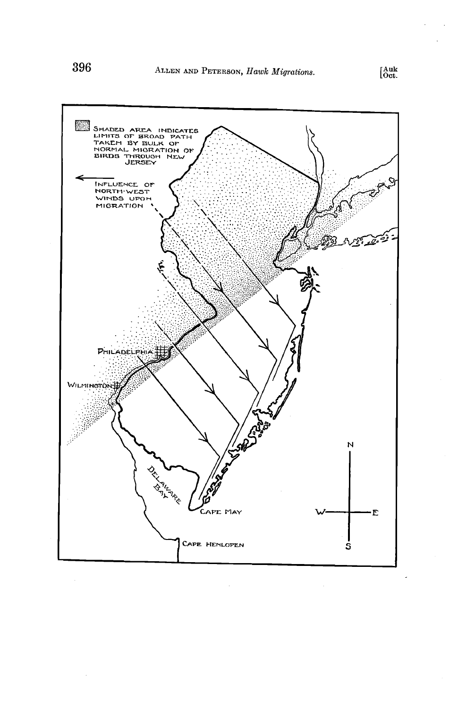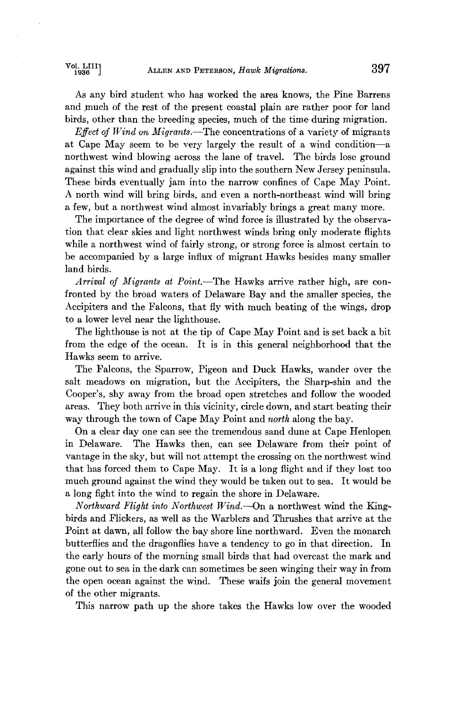**As any bird student who has worked the area knows, the Pine Barrens**  and much of the rest of the present coastal plain are rather poor for land **birds, other than the breeding species, much of the time during migration.** 

Effect of Wind on Migrants.—The concentrations of a variety of migrants **at Cape May seem to be very largely the result of a wind eondition--a northwest wind blowing across the lane of travel. The birds lose ground against this wind and gradually slip into the southern New Jersey peninsula. These birds eventually jam into the narrow confines of Cape May Point. A north wind will bring birds, and even a north-northeast wind will bring a few, but a northwest wind almost invariably brings a great many more.** 

**The importance of the degree of wind force is illustrated by the observation that clear skies and light northwest winds bring only moderate flights while a northwest wind of fairly strong, or strong force is almost certain to be accompanied by a large influx of migrant Hawks besides many smaller land birds.** 

Arrival of Migrants at Point.—The Hawks arrive rather high, are con**fronted by the broad waters of Delaware Bay and the smaller species, the Aeeipiters and the Falcons, that fly with much beating of the wings, drop to a lower level near the lighthouse.** 

**The lighthouse is not at the tip of Cape May Point and is set back a bit from the edge of the ocean. It is in this general neighborhood that the Hawks seem to arrive.** 

**The Falcons, the Sparrow, Pigeon and Duck Hawks, wander over the salt meadows on migration, but the Aeeipiters, the Sharp-shin and the Cooper's, shy away from the broad open stretches and follow the wooded areas. They both arrive in this vicinity, circle down, and start beating their way through the town of Cape May Point and north along the bay.** 

**On a dear day one can see the tremendous sand dune at Cape Henlopen in Delaware. The Hawks then, can see Delaware from their point of vantage in the sky, but will not attempt the erossing on the northwest wind that has forced them to Cape May. It is a long flight and if they lost too much ground against the wind they would be taken out to sea. It would be a long fight into the wind to regain the shore in Delaware.** 

**Northward Flight into Northwest Wind.--On a northwest wind the Kingbirds and Flickers, as well as the Warblers and Thrushes that arrive at the Point at dawn, all follow the bay shore line northward. Even the monarch butterflies and the dragonflies have a tendency to go in that direction. In the early hours of the morning small birds that had overcast the mark and gone out to sea in the dark can sometimes be seen winging their way in from the open ocean against the wind. These waifs join the general movement of the other migrants.** 

**This narrow path up the shore takes the Hawks low over the wooded**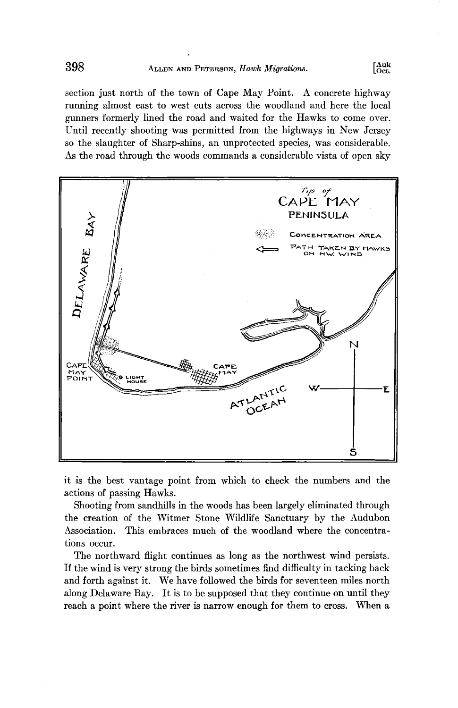**section just north of the town of Cape May Point. A concrete highway running almost east to west cuts across the woodland and here the local gunners formerly lined the road and waited for the Hawks to come over. Until recently shooting was permitted from the highways in New Jersey so the slaughter of Sharp-shins, an unprotected species, was considerable. As the road through the woods commands aconsiderable vista of open sky** 



**it is the best vantage point from which to cheek the numbers and the actions of passing Hawks.** 

**Shooting from sandhills in the woods has been largely eliminated through the creation of the Witmet Stone Wildlife Sanctuary by the Audubon**  This embraces much of the woodland where the concentra**tions occur.** 

**The northward flight continues as long as the northwest wind persists. If the wind is very strong the birds sometimes find difficulty in tacking back and forth against it. We have followed the birds for seventeen miles north along Delaware Bay. It is to be supposed that they continue on until they reach a point where the river is narrow enough for them to cross. When a**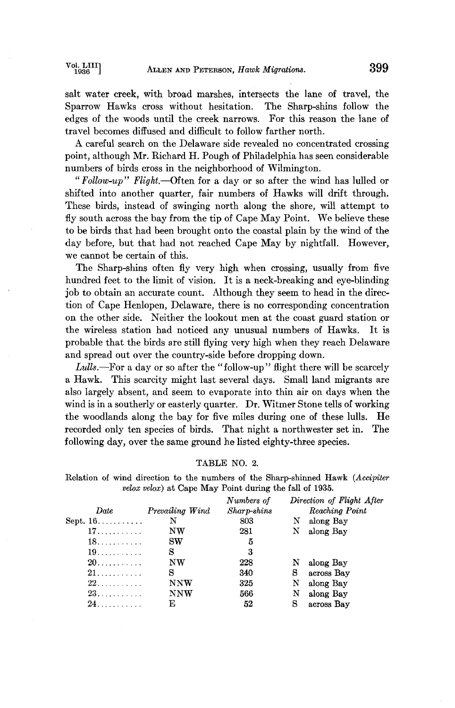salt water creek, with broad marshes, intersects the lane of travel, the **Sparrow Hawks cross without hesitation. The Sharp-shins follow the edges of the woods until the creek narrows. For this reason the lane of travel becomes diffused and difficult to follow farther north.** 

**A careful search on the Delaware side revealed no concentrated crossing point, although Mr. Richard H. Pough of Philadelphia has seen considerable numbers of birds cross in the neighborhood of Wilmington.** 

"Follow-up" Flight.—Often for a day or so after the wind has lulled or **shifted into another quarter, fair numbers of Hawks will drift through. These birds, instead of swinging north along the shore, will attempt to fly south across the bay from the tip of Cape May Point. We believe these to be birds that had been brought onto the coastal plain by the wind of the day before, but that had not reached Cape May by nightfall. However, we cannot be certain of this.** 

**The Sharp-shins often fly very high when erossing, usually from five hundred feet to the limit of vision. It is a neck-breaking and eye-blinding job to obtain an accurate count. Although they seem to head in the direction of Cape Henlopen, Delaware, there is no corresponding concentration on the other side. Neither the lookout men at the coast guard station or the wireless station had noticed any unusual numbers of Hawks. It is probable that the birds are still flying very high when they reach Delaware and spread out over the country-side before dropping down.** 

**Lulls.--For a day or so after the "follow-up" flight there will be scarcely a Hawk. This scarcity might last several days. Small land migrants are also largely absent, and seem to evaporate into thin air on days when the wind is in a southerly or easterly quarter. Dr. Witmet Stone tells of working the woodlands along the bay for five miles during one of these lulls. He**  recorded only ten species of birds. That night a northwester set in. **following day, over the same ground he listed eighty-three species.** 

## **TABLE NO. 2.**

Relation of wind direction to the numbers of the Sharp-shinned Hawk (Accipiter **velox velox) at Cape May Point during the fall of 1935.** 

|            |                 | Numbers of           |    | Direction of Flight After |
|------------|-----------------|----------------------|----|---------------------------|
| Date       | Prevailing Wind | $Sharp\text{-}shins$ |    | Reaching Point            |
| Sept. $16$ | N               | 803                  | N  | along Bay                 |
| 17.        | NW              | 281                  | N. | along Bay                 |
| 18.        | $\text{SW}$     | 5                    |    |                           |
| 19.        | S               | 3                    |    |                           |
| $20.$      | NW              | 228                  | N  | along Bay                 |
| 21.        | s               | 340                  | s  | across Bay                |
| $22$       | $_{\rm NNW}$    | 325                  | N  | along Bay                 |
|            | $_{\rm NNW}$    | 566                  | N  | along Bay                 |
| $24$       | E               | 52                   | s  | across Bay                |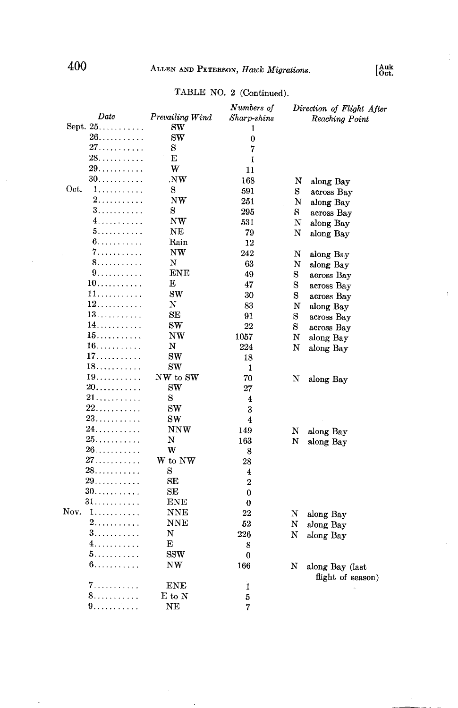# **TABLE NO. 2 (Continued).**

|            |                                                            | Numbers of  |         | Direction of Flight After |
|------------|------------------------------------------------------------|-------------|---------|---------------------------|
| Date       | Prevailing Wind                                            | Sharp-shins |         | Reaching Point            |
| Sept. $25$ | $_{\rm SW}$                                                | 1           |         |                           |
| 26.        | $_{\rm sw}$                                                | 0           |         |                           |
| 27.        | s                                                          | 7           |         |                           |
| 28.        | E                                                          | 1           |         |                           |
| 29.        | W                                                          | 11          |         |                           |
| 30.        | .NW                                                        | 168         | Ν       | along Bay                 |
| Oct.<br>1. | s                                                          | 591         | S       | across Bay                |
| 2.         | NW                                                         | 251         | N       | along Bay                 |
| 3.         | S                                                          | 295         | s       | across Bay                |
| 4.         | NW                                                         | 531         | Ν       | along Bay                 |
| 5.         | NΕ                                                         | 79          | N       | along Bay                 |
| 6.         | Rain                                                       | 12          |         |                           |
| 7.         | NW                                                         | 242         | Ν       | along Bay                 |
| 8.         | N                                                          | 63          | N       | along Bay                 |
| 9.         | ENE                                                        | 49          | s       | across Bay                |
| 10.        | Е                                                          | 47          | $\bf S$ | across Bay                |
| 11.        | $_{\rm sw}$                                                | 30          | s       | across Bay                |
| 12.        | N                                                          | 83          | N       | along Bay                 |
| 13.        | $_{\rm SE}$                                                | 91          | s       | across Bay                |
| 14.        | $_{\rm SW}$                                                | 22          | S.      | across Bay                |
| 15.        | $\ensuremath{\text{N}}\xspace\ensuremath{\text{W}}\xspace$ | 1057        | Ν       | along Bay                 |
| 16.        | N                                                          | 224         | N       | along Bay                 |
| 17.        | SW                                                         | 18          |         |                           |
| 18.        | $_{\rm SW}$                                                | 1           |         |                           |
| 19.        | $\rm{NW}$ to $\rm{SW}$                                     | 70          | N       |                           |
| 20.        | SW                                                         | 27          |         | along Bay                 |
| 21.        | s                                                          | 4           |         |                           |
| 22.        | $_{\rm SW}$                                                | 3           |         |                           |
| 23.        | $_{\rm SW}$                                                | 4           |         |                           |
| 24.        | <b>NNW</b>                                                 | 149         | N       |                           |
| 25.        | N                                                          | 163         | N       | along Bay                 |
| 26.        | W                                                          | 8           |         | along Bay                 |
| 27.        | W to NW                                                    | 28          |         |                           |
| 28.        | S                                                          | 4           |         |                           |
| 29.        | SE                                                         | 2           |         |                           |
| 30.        | $_{\rm SE}$                                                | 0           |         |                           |
| 31.        | ENE                                                        | 0           |         |                           |
| Nov.<br>1. | NNE                                                        | 22          |         |                           |
| 2.         | NNE                                                        | 52          | N<br>N  | along Bay                 |
| 3.         | N                                                          | 226         |         | along Bay                 |
| 4.         | Е                                                          |             | N       | along Bay                 |
| 5.         | SSW                                                        | 8           |         |                           |
| 6.         |                                                            | 0           |         |                           |
|            | NW                                                         | 166         | N       | along Bay (last           |
| 7.         | ${\rm ENE}$                                                |             |         | flight of season)         |
| 8.         |                                                            | 1           |         |                           |
|            | ${\rm E}$ to ${\rm N}$                                     | 5           |         |                           |
| 9.         | NΕ                                                         | 7           |         |                           |

 $\overline{\phantom{a}}$ 

 $\bar{t}$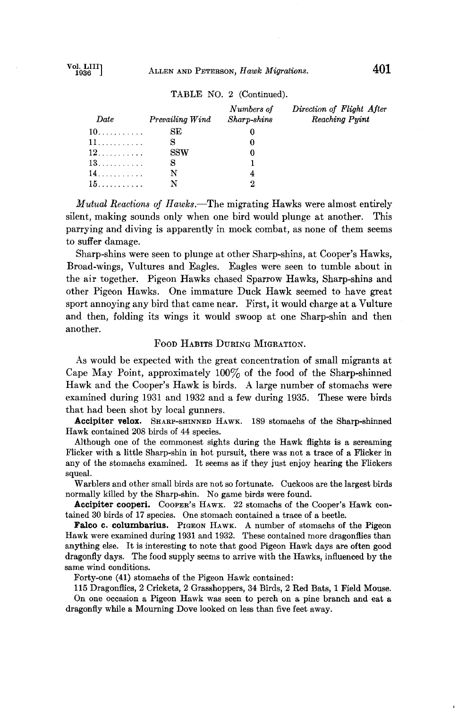### **TABLE NO. 2 (Continued).**

| Date                         | Prevailing Wind | Numbers of<br>Sharp-shins | Direction of Flight After<br>Reaching Pyint |
|------------------------------|-----------------|---------------------------|---------------------------------------------|
|                              | SE.             |                           |                                             |
| 11.                          |                 | O                         |                                             |
| $12\ldots\ldots\ldots\ldots$ | $_{\rm SSW}$    | 0                         |                                             |
|                              |                 |                           |                                             |
| 14.                          | N               | 4                         |                                             |
| $15 \dots $                  | N               | 9                         |                                             |

**Mutual Reactions of Hawks.--The migrating Hawks were almost entirely silent, making sounds only when one bird would plunge at another. This parrying and diving is apparently in mock combat, as none of them seems to suffer damage.** 

**Sharp-shins were seen to plunge at other Sharp-shins, at Cooper's Hawks, Broad-wings, Vultures and Eagles. Eagles were seen to tumble about in the air together. Pigeon Hawks chased Sparrow Hawks, Sharp-shins and other Pigeon Hawks. One immature Duck Hawk seemed to have great sport annoying any bird that came near. First, it would charge at a Vulture and then, folding its wings it would swoop at one Sharp-shin and then another.** 

### **17OOD HxBITS DURING MIGRATION.**

**As would be expected with the great concentration of small migrants at Cape May Point, approximately 100% of the food of the Sharp-shinned Hawk and the Cooper's Hawk is birds. A large number of stomachs were examined during 1931 and 1932 and a few during 1935. These were birds that had been shot by local gunners.** 

**lccipitor velox. SHARP-SHINNED HAWK. 189 stomachs of the Sharp-shinned Hawk contained 208 birds of 44 species.** 

**Although one of the commonest sights during the Hawk flights is a screaming Flicker with a little Sharp-shin in hot pursuit, there was not a trace of a Flicker in any of the stomachs examined. It seems as if they just enjoy hearing the Flickers squeal.** 

**Warblers and other small birds are not so fortunate. Cuckoos are the largest birds normally killed by the Sharp-shin. No game birds were found.** 

Accipiter cooperi. COOPER's HAWK. 22 stomachs of the Cooper's Hawk con**tained 30 birds of 17 species. One stomach contained a trace of a beetle.** 

Falco c. columbarius. PIGEON HAWK. A number of stomachs of the Pigeon **Hawk were examined during 1931 and 1932. These contained more dragonflies than anything else. It is interesting to note that good Pigeon Hawk days are often good dragonfly days. The food supply seems to arrive with the Hawks, influenced by the same wind conditions.** 

**Forty-one (41) stomachs of the Pigeon Hawk contained:** 

**115 Dragonflies, 2 Crickets, 2 Grasshoppers, 34 Birds, 2 Red Bats, 1 Field Mouse. On one occasion a Pigeon Hawk was seen to perch on a pine branch and eat a dragonfly while a Mourning Dove looked on less than five feet away.**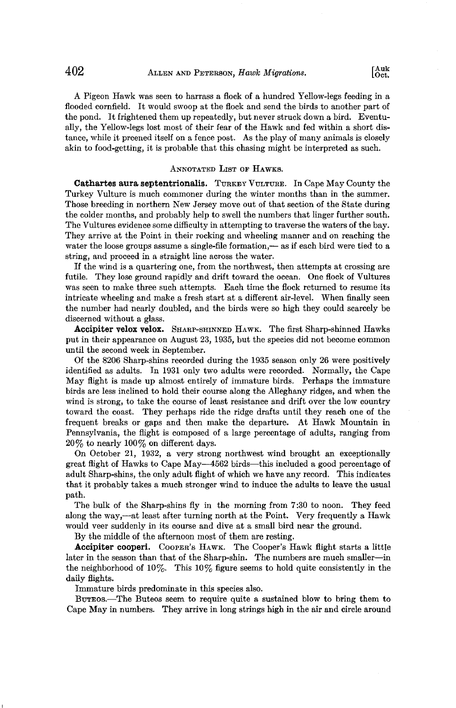**A Pigeon Hawk was seen to harrass a flock of a hundred Yellow-legs feeding in a flooded cornfield. It would swoop at the flock and send the birds to another part of the pond. It frightened them up repeatedly, but never struck down a bird. Eventually, the Yellow-legs lost most of their fear of the Hawk and fed within a short distance, while it preened itself on a fence post. As the play of many animals is closely akin to food-getting, it is probable that this chasing might be interpreted as such.** 

### **ANNOTATED LIST OF HAWKS.**

**Cathartes aura septentrionalis. TURKEY VULTURE. In Cape May County the Turkey Vulture is much commoner during the winter months than in the summer. Those breeding in northern New Jersey move out of that section of the State during the colder months, and probably help to swell the numbers that linger further south.**  The Vultures evidence some difficulty in attempting to traverse the waters of the bay. **They arrive at the Point in their rocking and wheeling manner and on reaching the**  water the loose groups assume a single-file formation,— as if each bird were tied to a **string, and proceed in a straight line across the water.** 

**If the wind is a quartering one, from the northwest, then attempts at crossing are futile. They lose ground rapidly and drift toward the ocean. One flock of Vultures was seen to make three such attempts. Each time the flock returned to resume its intricate wheeling and make a fresh start at a different air-level. When finally seen the number had nearly doubled, and the birds were so high they could scarcely be discerned without a glass.** 

**Accipiter velox velox. SHARP-SHINNED HAWK. The first Sharp-shinned Hawks put in their appearance on August 23, 1935, but the species did not become common until the second week in September.** 

**Of the 8206 Sharp-shins recorded during the 1935 season only 26 were positively identified as adults. In 1931 only two adults were recorded. Normally, the Cape May flight is made up almost entirely of immature birds. Perhaps the immature birds are less inclined to hold their course along the Alleghany ridges, and when the wind is strong, to take the course of least resistance and drift over the low country toward the coast. They perhaps ride the ridge drafts until they reach one of the frequent breaks or gaps and then make the departure. At Hawk Mountain in Pennsylvania, the flight is composed of a large percentage of adults, ranging from 20% to nearly 100% on different days.** 

**On October 21, 1932, a very strong northwest wind brought an exceptionally great flight of Hawks to Cape May--4562 birds--this included a good percentage of adult Sharp-shins, the only adult flight of which we have any record. This indicates that it probably takes a much stronger wind to induce the adults to leave the usual path.** 

**The bulk of the Sharp-shins fly in the morning from 7:30 to noon. They feed**  along the way,—at least after turning north at the Point. Very frequently a Hawk **would veer suddenly in its course and dive at a small bird near the ground.** 

**By the middle of the afternoon most of them are resting.** 

**Accipiter cooperi.** Cooper's HAWK. The Cooper's Hawk flight starts a little later in the season than that of the Sharp-shin. The numbers are much smaller--in **the neighborhood of 10%. This 10% figure seems to hold quite consistently in the daily flights.** 

**Immature birds predominate in this species also.** 

BUTEOS.—The Buteos seem to require quite a sustained blow to bring them to **Cape May in numbers. They arrive in long strings high in the air and circle around**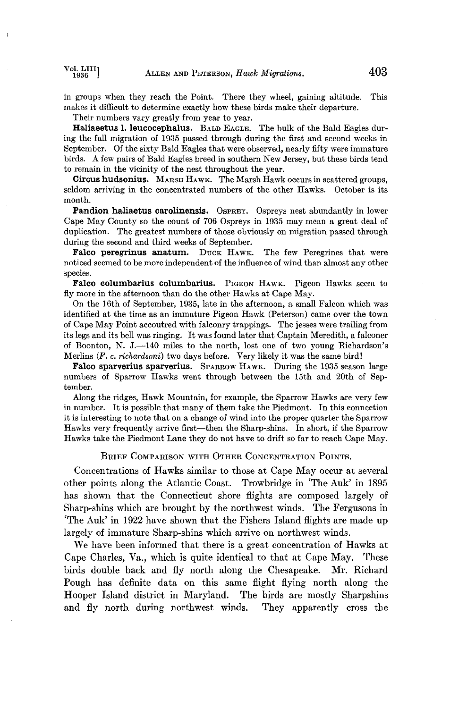**in groups when they reach the Point. There they wheel, gaining altitude. This makes it difficult to determine exactly how these birds make their departure.** 

**Their numbers vary greatly from year to year.** 

**Haliaeetus 1. leucocephalus. BALD EAGLE. The bulk of the Bald Eagles during the fall migration of 1935 passed through during the first and second weeks in September. Of the sixty Bald Eagles that were observed, nearly fifty were immature birds. A few pairs of Bald Eagles breed in southern New Jersey, but these birds tend to remain in the vicinity of the nest throughout the year.** 

**Circus hudsonius. MARSH HAWK. The Marsh Hawk occurs in scattered groups, seldom arriving in the concentrated numbers of the other Hawks. October is its month.** 

**Pandion haliaetus carolinensis.** Ospreys nest abundantly in lower **Cape May County so the count of 706 Ospreys in 1935 may mean a great deal of duplication. The greatest numbers of those obviously on migration passed through during the second and third weeks of September.** 

**Falco peregrinus anatum.** DUCK HAWK. The few Peregrines that were **noticed seemed to be more independent of the influence of wind than almost any other species.** 

**Falco colurnbarius colurnbarius. PIGEON HAWK. Pigeon Hawks seem to fly more in the afternoon than do the other Hawks at Cape May.** 

**On the 16th of September, 1935, late in the afternoon, a small Falcon which was identified at the time as an immature Pigeon Hawk (Peterson) came over the town of Cape May Point accoutred with falconry trappings. The jesses were trailing from its legs and its bell was ringing. It was found later that Captain Meredith, a falconer of Boonton, N. J.--140 miles to the north, lost one of two young Richardsoh's Merlins (F. c. richardsoni) two days before. Very likely it was the same bird!** 

**Falco sparverius sparverius.** SPARROW HAWK. During the 1935 season large **numbers of Sparrow Hawks went through between the 15th and 20th of September.** 

**Along the ridges, Hawk Mountain, for example, the Sparrow Hawks are very few in number. It is possible that many of them take the Piedmont. In this connection it is interesting to note that on a change of wind into the proper quarter the Sparrow Hawks very frequently arrive first--then the Sharp-shins. In short, if the Sparrow Hawks take the Piedmont Lane they do not have to drift so far to reach Cape May.** 

**BRIEF COMPARISON WITH OTHER CONCENTRATION POINTS.** 

**Concentrations of Hawks similar to those at Cape May occur at several other points along the Atlantic Coast. Trowbrldge in 'The Auk' in 1895**  has shown that the Connecticut shore flights are composed largely of **Sharp-shins which are brought by the northwest winds. The Fergusons in 'The Auk' in 1922 have shown that the Fishers Island flights are made up**  largely of immature Sharp-shins which arrive on northwest winds.

**We have been informed that there is a great concentration of Hawks at Cape Charles, Va., which is quite identical to that at Cape May. These birds double back and fly north along the Chesapeake. Mr. Richard**  Pough has definite data on this same flight flying north along the **Hooper Island district in Maryland.** The birds are mostly Sharpshins **Hooper Island district in Maryland. The birds are mostly Sharpshins**  and fly north during northwest winds.